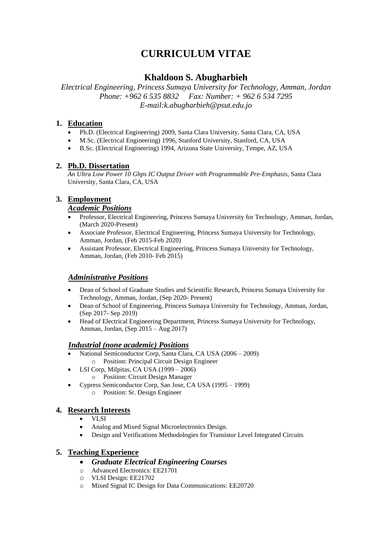# **CURRICULUM VITAE**

# **Khaldoon S. Abugharbieh**

*Electrical Engineering, Princess Sumaya University for Technology, Amman, Jordan Phone: +962 6 535 8832 Fax: Number: + 962 6 534 7295 E-mail:k.abugharbieh@psut.edu.jo*

## **1. Education**

- Ph.D. (Electrical Engineering) 2009, Santa Clara University, Santa Clara, CA, USA
- M.Sc. (Electrical Engineering) 1996, Stanford University, Stanford, CA, USA
- B.Sc. (Electrical Engineering) 1994, Arizona State University, Tempe, AZ, USA

## **2. Ph.D. Dissertation**

*An Ultra Low Power 10 Gbps IC Output Driver with Programmable Pre-Emphasis*, Santa Clara University, Santa Clara, CA, USA

## **3. Employment**

#### *Academic Positions*

- Professor, Electrical Engineering, Princess Sumaya University for Technology, Amman, Jordan, (March 2020-Present)
- Associate Professor, Electrical Engineering, Princess Sumaya University for Technology, Amman, Jordan, (Feb 2015-Feb 2020)
- Assistant Professor, Electrical Engineering, Princess Sumaya University for Technology, Amman, Jordan, (Feb 2010- Feb 2015)

#### *Administrative Positions*

- Dean of School of Graduate Studies and Scientific Research, Princess Sumaya University for Technology, Amman, Jordan, (Sep 2020- Present)
- Dean of School of Engineering, Princess Sumaya University for Technology, Amman, Jordan, (Sep 2017- Sep 2019)
- Head of Electrical Engineering Department, Princess Sumaya University for Technology, Amman, Jordan, (Sep 2015 – Aug 2017)

#### *Industrial (none academic) Positions*

- National Semiconductor Corp, Santa Clara, CA USA (2006 2009) o Position: Principal Circuit Design Engineer
- LSI Corp, Milpitas, CA USA (1999 2006)
- o Position: Circuit Design Manager
- Cypress Semiconductor Corp, San Jose, CA USA (1995 1999)
	- o Position: Sr. Design Engineer

## **4. Research Interests**

- VLSI
- Analog and Mixed Signal Microelectronics Design.
- Design and Verifications Methodologies for Transistor Level Integrated Circuits

## **5. Teaching Experience**

- *Graduate Electrical Engineering Courses*
- o Advanced Electronics: EE21701
- o VLSI Design: EE21702
- o Mixed Signal IC Design for Data Communications: EE20720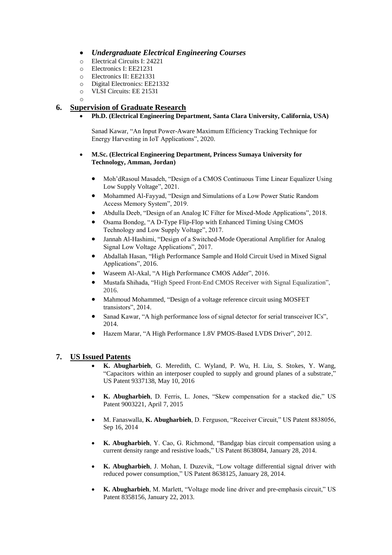- *Undergraduate Electrical Engineering Courses*
- o Electrical Circuits I: 24221
- o Electronics I: EE21231
- o Electronics II: EE21331
- o Digital Electronics: EE21332
- o VLSI Circuits: EE 21531
- o

# **6. Supervision of Graduate Research**

• **Ph.D. (Electrical Engineering Department, Santa Clara University, California, USA)**

Sanad Kawar*,* "An Input Power-Aware Maximum Efficiency Tracking Technique for Energy Harvesting in IoT Applications", 2020.

#### • **M.Sc. (Electrical Engineering Department, Princess Sumaya University for Technology, Amman, Jordan)**

- Moh'dRasoul Masadeh, "Design of a CMOS Continuous Time Linear Equalizer Using Low Supply Voltage", 2021.
- Mohammed Al-Fayyad, "Design and Simulations of a Low Power Static Random Access Memory System", 2019.
- Abdulla Deeb, "Design of an Analog IC Filter for Mixed-Mode Applications", 2018.
- Osama Bondog, "A D-Type Flip-Flop with Enhanced Timing Using CMOS Technology and Low Supply Voltage", 2017.
- Jannah Al-Hashimi, "Design of a Switched-Mode Operational Amplifier for Analog Signal Low Voltage Applications", 2017.
- Abdallah Hasan, "High Performance Sample and Hold Circuit Used in Mixed Signal Applications", 2016.
- Waseem Al-Akal, "A High Performance CMOS Adder", 2016.
- Mustafa Shihada, "High Speed Front-End CMOS Receiver with Signal Equalization", 2016.
- Mahmoud Mohammed, "Design of a voltage reference circuit using MOSFET transistors", 2014.
- Sanad Kawar, "A high performance loss of signal detector for serial transceiver ICs", 2014.
- Hazem Marar, "A High Performance 1.8V PMOS-Based LVDS Driver", 2012.

## **7. US Issued Patents**

- **K. Abugharbieh**, G. Meredith, C. Wyland, P. Wu, H. Liu, S. Stokes, Y. Wang, "Capacitors within an interposer coupled to supply and ground planes of a substrate," US Patent 9337138, May 10, 2016
- **K. Abugharbieh**, D. Ferris, L. Jones, "Skew compensation for a stacked die," US Patent 9003221, April 7, 2015
- M. Fanaswalla, **K. Abugharbieh**, D. Ferguson, "Receiver Circuit," US Patent 8838056, Sep 16, 2014
- **K. Abugharbieh**, Y. Cao, G. Richmond, ["Bandgap bias circuit compensation using a](http://patft.uspto.gov/netacgi/nph-Parser?Sect1=PTO2&Sect2=HITOFF&p=1&u=%2Fnetahtml%2FPTO%2Fsearch-bool.html&r=2&f=G&l=50&co1=AND&d=PTXT&s1=khaldoon.INNM.&s2=Abugharbieh.INNM.&OS=IN/khaldoon+AND+IN/Abugharbieh&RS=IN/khaldoon+AND+IN/Abugharbieh)  [current density range and resistive loads,](http://patft.uspto.gov/netacgi/nph-Parser?Sect1=PTO2&Sect2=HITOFF&p=1&u=%2Fnetahtml%2FPTO%2Fsearch-bool.html&r=2&f=G&l=50&co1=AND&d=PTXT&s1=khaldoon.INNM.&s2=Abugharbieh.INNM.&OS=IN/khaldoon+AND+IN/Abugharbieh&RS=IN/khaldoon+AND+IN/Abugharbieh)" US Patent 8638084, January 28, 2014.
- **K. Abugharbieh**, J. Mohan, I. Duzevik, "Low voltage differential signal driver with reduced power consumption," US Patent 8638125, January 28, 2014.
- **K. Abugharbieh**, M. Marlett, "Voltage mode line driver and pre-emphasis circuit," US Patent 8358156, January 22, 2013.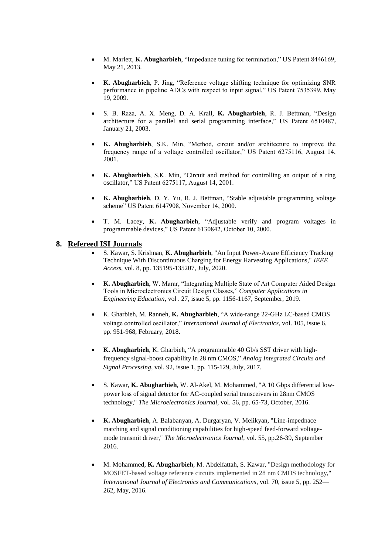- M. Marlett, **K. Abugharbieh**, "Impedance tuning for termination," US Patent 8446169, May 21, 2013.
- **K. Abugharbieh**, P. Jing, "Reference voltage shifting technique for optimizing SNR performance in pipeline ADCs with respect to input signal," US Patent 7535399, May 19, 2009.
- S. B. Raza, A. X. Meng, D. A. Krall, **K. Abugharbieh**, R. J. Bettman, ["Design](http://www.google.com/patents?id=rFkOAAAAEBAJ&dq=Khaldoon+Abugharbieh)  [architecture for a parallel and serial programming interface,](http://www.google.com/patents?id=rFkOAAAAEBAJ&dq=Khaldoon+Abugharbieh)" US Patent 6510487, January 21, 2003.
- **K. Abugharbieh**, S.K. Min, "Method, circuit and/or architecture to improve the frequency range of a voltage controlled oscillator," US Patent 6275116, August 14, 2001.
- **K. Abugharbieh**, S.K. Min, ["Circuit and method for controlling an output of a ring](http://www.google.com/patents?id=LQMIAAAAEBAJ&dq=Khaldoon+Abugharbieh)  [oscillator,"](http://www.google.com/patents?id=LQMIAAAAEBAJ&dq=Khaldoon+Abugharbieh) US Patent 6275117, August 14, 2001.
- **K. Abugharbieh**, D. Y. Yu, R. J. Bettman, ["Stable adjustable programming voltage](http://www.google.com/patents?id=TCoGAAAAEBAJ&dq=Khaldoon+Abugharbieh)  [scheme"](http://www.google.com/patents?id=TCoGAAAAEBAJ&dq=Khaldoon+Abugharbieh) US Patent 6147908, November 14, 2000.
- T. M. Lacey, **K. Abugharbieh**, ["Adjustable verify and program voltages in](http://www.google.com/patents?id=e-IFAAAAEBAJ&dq=Khaldoon+Abugharbieh)  [programmable devices,](http://www.google.com/patents?id=e-IFAAAAEBAJ&dq=Khaldoon+Abugharbieh)" US Patent 6130842, October 10, 2000.

#### **8. Refereed ISI Journals**

- S. Kawar, S. Krishnan, **K. Abugharbieh**, "An Input Power-Aware Efficiency Tracking Technique With Discontinuous Charging for Energy Harvesting Applications," *IEEE Access*, vol. 8, pp. 135195-135207, July, 2020.
- **K. Abugharbieh**, W. Marar, "Integrating Multiple State of Art Computer Aided Design Tools in Microelectronics Circuit Design Classes," *Computer Applications in Engineering Education*, vol . 27, issue 5, pp. 1156-1167, September, 2019.
- K. Gharbieh, M. Ranneh, **K. Abugharbieh**, "A wide-range 22-GHz LC-based CMOS voltage controlled oscillator," *International Journal of Electronics*, vol. 105, issue 6, pp. 951-968, February, 2018.
- **K. Abugharbieh**, K. Gharbieh, "A programmable 40 Gb/s SST driver with highfrequency signal-boost capability in 28 nm CMOS," *Analog Integrated Circuits and Signal Processing*, vol. 92, issue 1, pp. 115-129, July, 2017.
- S. Kawar, **K. Abugharbieh**, W. Al-Akel, M. Mohammed, "A 10 Gbps differential lowpower loss of signal detector for AC-coupled serial transceivers in 28nm CMOS technology," *The Microelectronics Journal*, vol. 56, pp. 65-73, October, 2016.
- **K. Abugharbieh**, A. Balabanyan, A. Durgaryan, V. Melikyan, "Line-impednace matching and signal conditioning capabilities for high-speed feed-forward voltagemode transmit driver," *The Microelectronics Journal*, vol. 55, pp.26-39, September 2016.
- M. Mohammed, **K. Abugharbieh**, M. Abdelfattah, S. Kawar, "Design methodology for MOSFET-based voltage reference circuits implemented in 28 nm CMOS technology," *International Journal of Electronics and Communications*, vol. 70, issue 5, pp. 252— 262, May, 2016.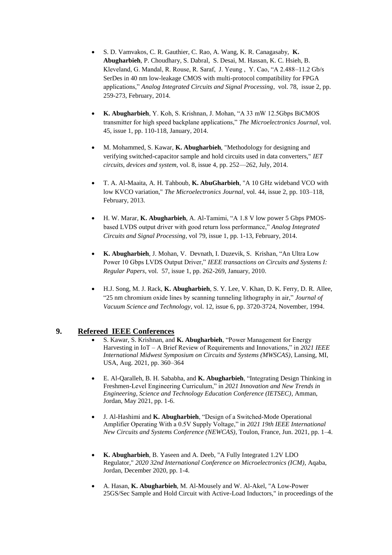- S. D. Vamvakos, C. R. Gauthier, C. Rao, A. Wang, K. R. Canagasaby, **K. Abugharbieh**, P. Choudhary, S. Dabral, S. Desai, M. Hassan, K. C. Hsieh, B. Kleveland, G. Mandal, R. Rouse, R. Saraf, J. Yeung , Y. Cao, "A 2.488–11.2 Gb/s SerDes in 40 nm low-leakage CMOS with multi-protocol compatibility for FPGA applications," *Analog Integrated Circuits and Signal Processing*, vol. 78, issue 2, pp. 259-273, February, 2014.
- **K. Abugharbieh**, Y. Koh, S. Krishnan, J. Mohan, "A 33 mW 12.5Gbps BiCMOS transmitter for high speed backplane applications," *The Microelectronics Journal*, vol. 45, issue 1, pp. 110-118, January, 2014.
- M. Mohammed, S. Kawar, **K. Abugharbieh**, "Methodology for designing and verifying switched-capacitor sample and hold circuits used in data converters," *IET circuits, devices and system*, vol. 8, issue 4, pp. 252—262, July, 2014.
- T. A. Al-Maaita, A. H. Tahboub, **K. AbuGharbieh**, "A 10 GHz wideband VCO with low KVCO variation," *The Microelectronics Journal*, vol. 44, issue 2, pp. 103–118, February, 2013.
- H. W. Marar, **K. Abugharbieh**, A. Al-Tamimi, "A 1.8 V low power 5 Gbps PMOSbased LVDS output driver with good return loss performance," *Analog Integrated Circuits and Signal Processing*, vol 79, issue 1, pp. 1-13, February, 2014.
- **K. Abugharbieh**, J. Mohan, V. Devnath, I. Duzevik, S. Krishan, "An Ultra Low Power 10 Gbps LVDS Output Driver," *IEEE transactions on Circuits and Systems I: Regular Papers*, vol. 57, issue 1, pp. 262-269, January, 2010.
- H.J. Song, M. J. Rack, **K. Abugharbieh**, S. Y. Lee, V. Khan, D. K. Ferry, D. R. Allee, "25 nm chromium oxide lines by scanning tunneling lithography in air," *Journal of Vacuum Science and Technology*, vol. 12, issue 6, pp. 3720-3724, November, 1994.

## **9. Refereed IEEE Conferences**

- S. Kawar, S. Krishnan, and **K. Abugharbieh**, "Power Management for Energy Harvesting in IoT – A Brief Review of Requirements and Innovations," in *2021 IEEE International Midwest Symposium on Circuits and Systems (MWSCAS)*, Lansing, MI, USA, Aug. 2021, pp. 360–364
- E. Al-Qaralleh, B. H. Sababha, and **K. Abugharbieh**, "Integrating Design Thinking in Freshmen-Level Engineering Curriculum," in *2021 Innovation and New Trends in Engineering, Science and Technology Education Conference (IETSEC)*, Amman, Jordan, May 2021, pp. 1-6.
- J. Al-Hashimi and **K. Abugharbieh**, "Design of a Switched-Mode Operational Amplifier Operating With a 0.5V Supply Voltage," in *2021 19th IEEE International New Circuits and Systems Conference (NEWCAS)*, Toulon, France, Jun. 2021, pp. 1–4.
- **K. Abugharbieh**, B. Yaseen and A. Deeb, "A Fully Integrated 1.2V LDO Regulator," *2020 32nd International Conference on Microelectronics (ICM)*, Aqaba, Jordan, December 2020, pp. 1-4.
- A. Hasan, **K. Abugharbieh**, M. Al-Mousely and W. Al-Akel, "A Low-Power 25GS/Sec Sample and Hold Circuit with Active-Load Inductors," in proceedings of the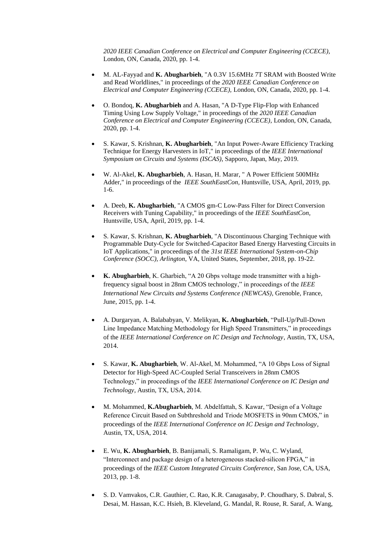*2020 IEEE Canadian Conference on Electrical and Computer Engineering (CCECE),* London, ON, Canada, 2020, pp. 1-4.

- M. AL-Fayyad and **K. Abugharbieh**, "A 0.3V 15.6MHz 7T SRAM with Boosted Write and Read Worldlines," in proceedings of the *2020 IEEE Canadian Conference on Electrical and Computer Engineering (CCECE),* London, ON, Canada, 2020, pp. 1-4.
- O. Bondoq, **K. Abugharbieh** and A. Hasan, "A D-Type Flip-Flop with Enhanced Timing Using Low Supply Voltage," in proceedings of the *2020 IEEE Canadian Conference on Electrical and Computer Engineering (CCECE)*, London, ON, Canada, 2020, pp. 1-4.
- S. Kawar, S. Krishnan, **K. Abugharbieh**, "An Input Power-Aware Efficiency Tracking Technique for Energy Harvesters in IoT," in proceedings of the *IEEE International Symposium on Circuits and Systems (ISCAS)*, Sapporo, Japan, May, 2019.
- W. Al-Akel, **K. Abugharbieh**, A. Hasan, H. Marar, " A Power Efficient 500MHz Adder," in proceedings of the *IEEE SouthEastCon,* Huntsville, USA, April, 2019, pp. 1-6.
- A. Deeb, **K. Abugharbieh**, "A CMOS gm-C Low-Pass Filter for Direct Conversion Receivers with Tuning Capability," in proceedings of the *IEEE SouthEastCon,*  Huntsville, USA, April, 2019, pp. 1-4.
- S. Kawar, S. Krishnan, **K. Abugharbieh**, "A Discontinuous Charging Technique with Programmable Duty-Cycle for Switched-Capacitor Based Energy Harvesting Circuits in IoT Applications," in proceedings of the *31st IEEE International System-on-Chip Conference (SOCC), Arlington*, VA, United States, September, 2018, pp. 19-22.
- **K. Abugharbieh**, K. Gharbieh, "A 20 Gbps voltage mode transmitter with a highfrequency signal boost in 28nm CMOS technology," in proceedings of the *IEEE International New Circuits and Systems Conference (NEWCAS)*, Grenoble, France, June, 2015, pp. 1-4.
- A. Durgaryan, A. Balababyan, V. Melikyan, **K. Abugharbieh**, "Pull-Up/Pull-Down Line Impedance Matching Methodology for High Speed Transmitters," in proceedings of the *IEEE International Conference on IC Design and Technology*, Austin, TX, USA, 2014.
- S. Kawar, **K. Abugharbieh**, W. Al-Akel, M. Mohammed, "A 10 Gbps Loss of Signal Detector for High-Speed AC-Coupled Serial Transceivers in 28nm CMOS Technology," in proceedings of the *IEEE International Conference on IC Design and Technology*, Austin, TX, USA, 2014.
- M. Mohammed, **K.Abugharbieh**, M. Abdelfattah, S. Kawar, "Design of a Voltage Reference Circuit Based on Subthreshold and Triode MOSFETS in 90nm CMOS," in proceedings of the *IEEE International Conference on IC Design and Technology*, Austin, TX, USA, 2014.
- E. Wu, **K. Abugharbieh**, B. Banijamali, S. Ramaligam, P. Wu, C. Wyland, "Interconnect and package design of a heterogeneous stacked-silicon FPGA," in proceedings of the *IEEE Custom Integrated Circuits Conference*, San Jose, CA, USA, 2013, pp. 1-8.
- S. D. Vamvakos, C.R. Gauthier, C. Rao, K.R. Canagasaby, P. Choudhary, S. Dabral, S. Desai, M. Hassan, K.C. Hsieh, B. Kleveland, G. Mandal, R. Rouse, R. Saraf, A. Wang,